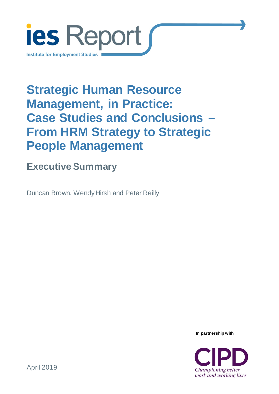

# **Strategic Human Resource Management, in Practice: Case Studies and Conclusions – From HRM Strategy to Strategic People Management**

## **Executive Summary**

Duncan Brown, Wendy Hirsh and Peter Reilly

**In partnership with**

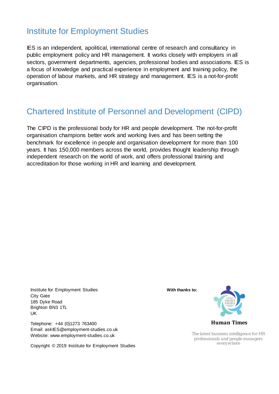### Institute for Employment Studies

IES is an independent, apolitical, international centre of research and consultancy in public employment policy and HR management. It works closely with employers in all sectors, government departments, agencies, professional bodies and associations. IES is a focus of knowledge and practical experience in employment and training policy, the operation of labour markets, and HR strategy and management. IES is a not-for-profit organisation.

### Chartered Institute of Personnel and Development (CIPD)

The CIPD is the professional body for HR and people development. The not-for-profit organisation champions better work and working lives and has been setting the benchmark for excellence in people and organisation development for more than 100 years. It has 150,000 members across the world, provides thought leadership through independent research on the world of work, and offers professional training and accreditation for those working in HR and learning and development.

Institute for Employment Studies City Gate 185 Dyke Road Brighton BN3 1TL UK

Telephone: +44 (0)1273 763400 Email: askIES@employment-studies.co.uk Website: www.employment-studies.co.uk

Copyright © 2019 Institute for Employment Studies

**With thanks to:**



*The latest business intelligence for HR professionals and people managers everywhere*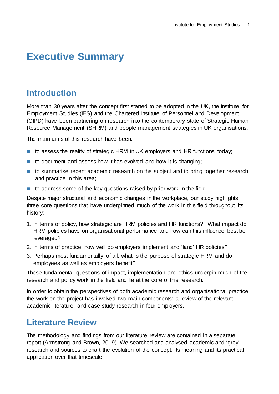### **Executive Summary**

### **Introduction**

More than 30 years after the concept first started to be adopted in the UK, the Institute for Employment Studies (IES) and the Chartered Institute of Personnel and Development (CIPD) have been partnering on research into the contemporary state of Strategic Human Resource Management (SHRM) and people management strategies in UK organisations.

The main aims of this research have been:

- to assess the reality of strategic HRM in UK employers and HR functions today;
- to document and assess how it has evolved and how it is changing;
- to summarise recent academic research on the subject and to bring together research and practice in this area;
- to address some of the key questions raised by prior work in the field.

Despite major structural and economic changes in the workplace, our study highlights three core questions that have underpinned much of the work in this field throughout its history:

- 1. In terms of policy, how strategic are HRM policies and HR functions? What impact do HRM policies have on organisational performance and how can this influence best be leveraged?
- 2. In terms of practice, how well do employers implement and 'land' HR policies?
- 3. Perhaps most fundamentally of all, what is the purpose of strategic HRM and do employees as well as employers benefit?

These fundamental questions of impact, implementation and ethics underpin much of the research and policy work in the field and lie at the core of this research.

In order to obtain the perspectives of both academic research and organisational practice, the work on the project has involved two main components: a review of the relevant academic literature; and case study research in four employers.

#### **Literature Review**

The methodology and findings from our literature review are contained in a [separate](https://www.employment-studies.co.uk/resource/strategic-human-resource-management-back-future)  [report](https://www.employment-studies.co.uk/resource/strategic-human-resource-management-back-future) (Armstrong and Brown, 2019). We searched and analysed academic and 'grey' research and sources to chart the evolution of the concept, its meaning and its practical application over that timescale.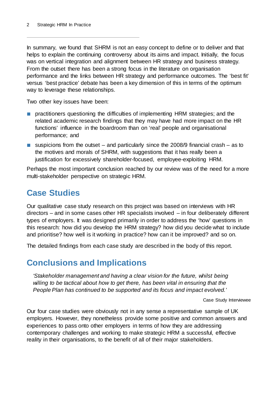In summary, we found that SHRM is not an easy concept to define or to deliver and that helps to explain the continuing controversy about its aims and impact. Initially, the focus was on vertical integration and alignment between HR strategy and business strategy. From the outset there has been a strong focus in the literature on organisation performance and the links between HR strategy and performance outcomes. The 'best fit' versus 'best practice' debate has been a key dimension of this in terms of the optimum way to leverage these relationships.

Two other key issues have been:

- practitioners questioning the difficulties of implementing HRM strategies; and the related academic research findings that they may have had more impact on the HR functions' influence in the boardroom than on 'real' people and organisational performance; and
- suspicions from the outset  $-$  and particularly since the 2008/9 financial crash  $-$  as to the motives and morals of SHRM, with suggestions that it has really been a justification for excessively shareholder-focused, employee-exploiting HRM.

Perhaps the most important conclusion reached by our review was of the need for a more multi-stakeholder perspective on strategic HRM.

### **Case Studies**

Our qualitative case study research on this project was based on interviews with HR directors – and in some cases other HR specialists involved – in four deliberately different types of employers. It was designed primarily in order to address the 'how' questions in this research: how did you develop the HRM strategy? how did you decide what to include and prioritise? how well is it working in practice? how can it be improved? and so on.

The detailed findings from each case study are described in the body of this report.

### **Conclusions and Implications**

*'Stakeholder management and having a clear vision for the future, whilst being willing to be tactical about how to get there, has been vital in ensuring that the People Plan has continued to be supported and its focus and impact evolved.'*

Case Study Interviewee

Our four case studies were obviously not in any sense a representative sample of UK employers. However, they nonetheless provide some positive and common answers and experiences to pass onto other employers in terms of how they are addressing contemporary challenges and working to make strategic HRM a successful, effective reality in their organisations, to the benefit of all of their major stakeholders.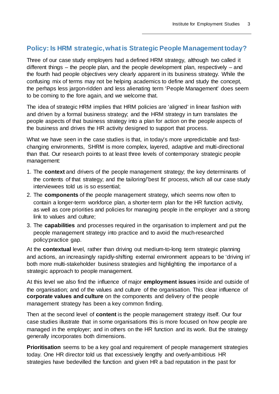#### **Policy: Is HRM strategic, what is Strategic People Management today?**

Three of our case study employers had a defined HRM strategy, although two called it different things – the people plan, and the people development plan, respectively – and the fourth had people objectives very clearly apparent in its business strategy. While the confusing mix of terms may not be helping academics to define and study the concept, the perhaps less jargon-ridden and less alienating term 'People Management' does seem to be coming to the fore again, and we welcome that.

The idea of strategic HRM implies that HRM policies are 'aligned' in linear fashion with and driven by a formal business strategy; and the HRM strategy in turn translates the people aspects of that business strategy into a plan for action on the people aspects of the business and drives the HR activity designed to support that process.

What we have seen in the case studies is that, in today's more unpredictable and fastchanging environments, SHRM is more complex, layered, adaptive and multi-directional than that. Our research points to at least three levels of contemporary strategic people management:

- 1. The **context** and drivers of the people management strategy; the key determinants of the contents of that strategy; and the tailoring/'best fit' process, which all our case study interviewees told us is so essential;
- 2. The **components** of the people management strategy, which seems now often to contain a longer-term workforce plan, a shorter-term plan for the HR function activity, as well as core priorities and policies for managing people in the employer and a strong link to values and culture;
- 3. The **capabilities** and processes required in the organisation to implement and put the people management strategy into practice and to avoid the much-researched policy:practice gap.

At the **contextual** level, rather than driving out medium-to-long term strategic planning and actions, an increasingly rapidly-shifting external environment appears to be 'driving in' both more multi-stakeholder business strategies and highlighting the importance of a strategic approach to people management.

At this level we also find the influence of major **employment issues** inside and outside of the organisation; and of the values and culture of the organisation. This clear influence of **corporate values and culture** on the components and delivery of the people management strategy has been a key common finding.

Then at the second level of **content** is the people management strategy itself. Our four case studies illustrate that in some organisations this is more focused on how people are managed in the employer; and in others on the HR function and its work. But the strategy generally incorporates both dimensions.

**Prioritisation** seems to be a key goal and requirement of people management strategies today. One HR director told us that excessively lengthy and overly-ambitious HR strategies have bedevilled the function and given HR a bad reputation in the past for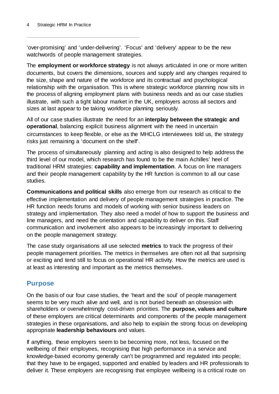'over-promising' and 'under-delivering'. 'Focus' and 'delivery' appear to be the new watchwords of people management strategies.

The **employment or workforce strategy** is not always articulated in one or more written documents, but covers the dimensions, sources and supply and any changes required to the size, shape and nature of the workforce and its contractual and psychological relationship with the organisation. This is where strategic workforce planning now sits in the process of aligning employment plans with business needs and as our case studies illustrate, with such a tight labour market in the UK, employers across all sectors and sizes at last appear to be taking workforce planning seriously.

All of our case studies illustrate the need for an **interplay between the strategic and operational**, balancing explicit business alignment with the need in uncertain circumstances to keep flexible, or else as the MHCLG interviewees told us, the strategy risks just remaining a 'document on the shelf'.

The process of simultaneously planning and acting is also designed to help address the third level of our model, which research has found to be the main Achilles' heel of traditional HRM strategies: **capability and implementation**. A focus on line managers and their people management capability by the HR function is common to all our case studies.

**Communications and political skills** also emerge from our research as critical to the effective implementation and delivery of people management strategies in practice. The HR function needs forums and models of working with senior business leaders on strategy and implementation. They also need a model of how to support the business and line managers, and need the orientation and capability to deliver on this. Staff communication and involvement also appears to be increasingly important to delivering on the people management strategy.

The case study organisations all use selected **metrics** to track the progress of their people management priorities. The metrics in themselves are often not all that surprising or exciting and tend still to focus on operational HR activity. How the metrics are used is at least as interesting and important as the metrics themselves.

#### **Purpose**

On the basis of our four case studies, the 'heart and the soul' of people management seems to be very much alive and well, and is not buried beneath an obsession with shareholders or overwhelmingly cost-driven priorities. The **purpose, values and culture**  of these employers are critical determinants and components of the people management strategies in these organisations, and also help to explain the strong focus on developing appropriate **leadership behaviours** and values.

If anything, these employers seem to be becoming more, not less, focused on the wellbeing of their employees, recognising that high performance in a service and knowledge-based economy generally can't be programmed and regulated into people; that they have to be engaged, supported and enabled by leaders and HR professionals to deliver it. These employers are recognising that employee wellbeing is a critical route on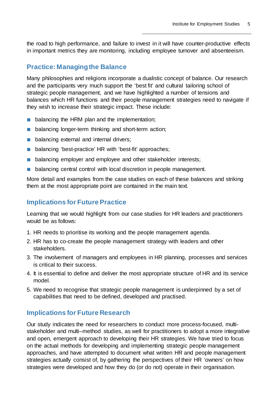the road to high performance, and failure to invest in it will have counter-productive effects in important metrics they are monitoring, including employee turnover and absenteeism.

#### **Practice: Managing the Balance**

Many philosophies and religions incorporate a dualistic concept of balance. Our research and the participants very much support the 'best fit' and cultural tailoring school of strategic people management, and we have highlighted a number of tensions and balances which HR functions and their people management strategies need to navigate if they wish to increase their strategic impact. These include:

- balancing the HRM plan and the implementation;
- balancing longer-term thinking and short-term action;
- balancing external and internal drivers;
- balancing 'best-practice' HR with 'best-fit' approaches;
- balancing employer and employee and other stakeholder interests;
- balancing central control with local discretion in people management.

More detail and examples from the case studies on each of these balances and striking them at the most appropriate point are contained in the main text.

#### **Implications for Future Practice**

Learning that we would highlight from our case studies for HR leaders and practitioners would be as follows:

- 1. HR needs to prioritise its working and the people management agenda.
- 2. HR has to co-create the people management strategy with leaders and other stakeholders.
- 3. The involvement of managers and employees in HR planning, processes and services is critical to their success.
- 4. It is essential to define and deliver the most appropriate structure of HR and its service model.
- 5. We need to recognise that strategic people management is underpinned by a set of capabilities that need to be defined, developed and practised.

#### **Implications for Future Research**

Our study indicates the need for researchers to conduct more process-focused, multistakeholder and multi–method studies, as well for practitioners to adopt a more integrative and open, emergent approach to developing their HR strategies. We have tried to focus on the actual methods for developing and implementing strategic people management approaches, and have attempted to document what written HR and people management strategies actually consist of, by gathering the perspectives of their HR 'owners' on how strategies were developed and how they do (or do not) operate in their organisation.